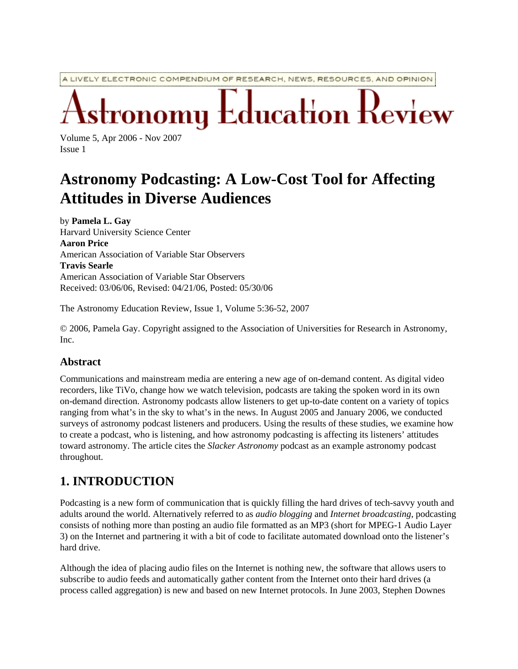A LIVELY ELECTRONIC COMPENDIUM OF RESEARCH, NEWS, RESOURCES, AND OPINION

 $\operatorname{\mathsf{L}ducation}$   $\operatorname{\mathsf{I}}$ 

Volume 5, Apr 2006 - Nov 2007 Issue 1

# **Astronomy Podcasting: A Low-Cost Tool for Affecting Attitudes in Diverse Audiences**

by **Pamela L. Gay** Harvard University Science Center **Aaron Price** American Association of Variable Star Observers **Travis Searle** American Association of Variable Star Observers Received: 03/06/06, Revised: 04/21/06, Posted: 05/30/06

The Astronomy Education Review, Issue 1, Volume 5:36-52, 2007

© 2006, Pamela Gay. Copyright assigned to the Association of Universities for Research in Astronomy, Inc.

#### **Abstract**

Communications and mainstream media are entering a new age of on-demand content. As digital video recorders, like TiVo, change how we watch television, podcasts are taking the spoken word in its own on-demand direction. Astronomy podcasts allow listeners to get up-to-date content on a variety of topics ranging from what's in the sky to what's in the news. In August 2005 and January 2006, we conducted surveys of astronomy podcast listeners and producers. Using the results of these studies, we examine how to create a podcast, who is listening, and how astronomy podcasting is affecting its listeners' attitudes toward astronomy. The article cites the *Slacker Astronomy* podcast as an example astronomy podcast throughout.

#### **1. INTRODUCTION**

Podcasting is a new form of communication that is quickly filling the hard drives of tech-savvy youth and adults around the world. Alternatively referred to as *audio blogging* and *Internet broadcasting*, podcasting consists of nothing more than posting an audio file formatted as an MP3 (short for MPEG-1 Audio Layer 3) on the Internet and partnering it with a bit of code to facilitate automated download onto the listener's hard drive.

Although the idea of placing audio files on the Internet is nothing new, the software that allows users to subscribe to audio feeds and automatically gather content from the Internet onto their hard drives (a process called aggregation) is new and based on new Internet protocols. In June 2003, Stephen Downes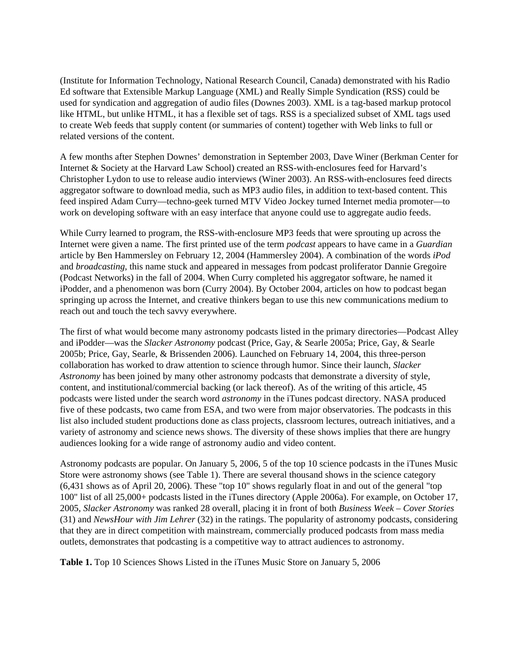(Institute for Information Technology, National Research Council, Canada) demonstrated with his Radio Ed software that Extensible Markup Language (XML) and Really Simple Syndication (RSS) could be used for syndication and aggregation of audio files (Downes 2003). XML is a tag-based markup protocol like HTML, but unlike HTML, it has a flexible set of tags. RSS is a specialized subset of XML tags used to create Web feeds that supply content (or summaries of content) together with Web links to full or related versions of the content.

A few months after Stephen Downes' demonstration in September 2003, Dave Winer (Berkman Center for Internet & Society at the Harvard Law School) created an RSS-with-enclosures feed for Harvard's Christopher Lydon to use to release audio interviews (Winer 2003). An RSS-with-enclosures feed directs aggregator software to download media, such as MP3 audio files, in addition to text-based content. This feed inspired Adam Curry—techno-geek turned MTV Video Jockey turned Internet media promoter—to work on developing software with an easy interface that anyone could use to aggregate audio feeds.

While Curry learned to program, the RSS-with-enclosure MP3 feeds that were sprouting up across the Internet were given a name. The first printed use of the term *podcast* appears to have came in a *Guardian* article by Ben Hammersley on February 12, 2004 (Hammersley 2004). A combination of the words *iPod* and *broadcasting*, this name stuck and appeared in messages from podcast proliferator Dannie Gregoire (Podcast Networks) in the fall of 2004. When Curry completed his aggregator software, he named it iPodder, and a phenomenon was born (Curry 2004). By October 2004, articles on how to podcast began springing up across the Internet, and creative thinkers began to use this new communications medium to reach out and touch the tech savvy everywhere.

The first of what would become many astronomy podcasts listed in the primary directories—Podcast Alley and iPodder—was the *Slacker Astronomy* podcast (Price, Gay, & Searle 2005a; Price, Gay, & Searle 2005b; Price, Gay, Searle, & Brissenden 2006). Launched on February 14, 2004, this three-person collaboration has worked to draw attention to science through humor. Since their launch, *Slacker Astronomy* has been joined by many other astronomy podcasts that demonstrate a diversity of style, content, and institutional/commercial backing (or lack thereof). As of the writing of this article, 45 podcasts were listed under the search word *astronomy* in the iTunes podcast directory. NASA produced five of these podcasts, two came from ESA, and two were from major observatories. The podcasts in this list also included student productions done as class projects, classroom lectures, outreach initiatives, and a variety of astronomy and science news shows. The diversity of these shows implies that there are hungry audiences looking for a wide range of astronomy audio and video content.

Astronomy podcasts are popular. On January 5, 2006, 5 of the top 10 science podcasts in the iTunes Music Store were astronomy shows (see Table 1). There are several thousand shows in the science category (6,431 shows as of April 20, 2006). These "top 10" shows regularly float in and out of the general "top 100" list of all 25,000+ podcasts listed in the iTunes directory (Apple 2006a). For example, on October 17, 2005, *Slacker Astronomy* was ranked 28 overall, placing it in front of both *Business Week – Cover Stories* (31) and *NewsHour with Jim Lehrer* (32) in the ratings. The popularity of astronomy podcasts, considering that they are in direct competition with mainstream, commercially produced podcasts from mass media outlets, demonstrates that podcasting is a competitive way to attract audiences to astronomy.

**Table 1.** Top 10 Sciences Shows Listed in the iTunes Music Store on January 5, 2006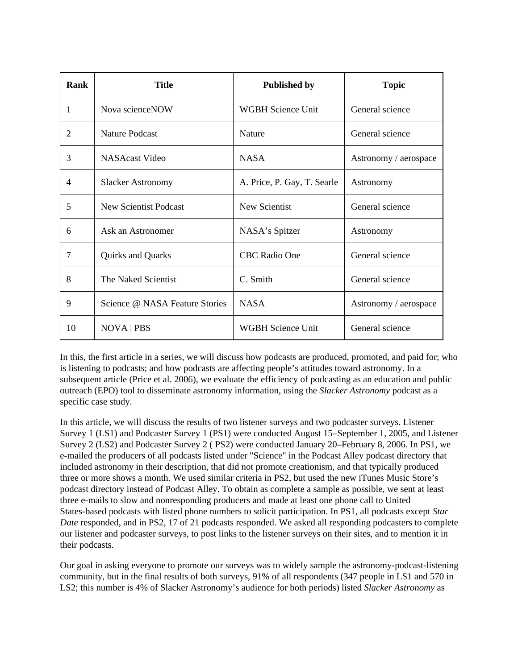| Rank           | <b>Title</b>                   | <b>Published by</b>         | <b>Topic</b>          |  |  |
|----------------|--------------------------------|-----------------------------|-----------------------|--|--|
| 1              | Nova science NOW               | <b>WGBH Science Unit</b>    | General science       |  |  |
| 2              | <b>Nature Podcast</b>          | <b>Nature</b>               | General science       |  |  |
| 3              | NASAcast Video                 | <b>NASA</b>                 | Astronomy / aerospace |  |  |
| $\overline{4}$ | <b>Slacker Astronomy</b>       | A. Price, P. Gay, T. Searle | Astronomy             |  |  |
| 5              | <b>New Scientist Podcast</b>   | New Scientist               | General science       |  |  |
| 6              | Ask an Astronomer              | NASA's Spitzer              | Astronomy             |  |  |
| 7              | Quirks and Quarks              | <b>CBC Radio One</b>        | General science       |  |  |
| 8              | The Naked Scientist            | C. Smith                    | General science       |  |  |
| 9              | Science @ NASA Feature Stories | <b>NASA</b>                 | Astronomy / aerospace |  |  |
| 10             | NOVA   PBS                     | <b>WGBH Science Unit</b>    | General science       |  |  |

In this, the first article in a series, we will discuss how podcasts are produced, promoted, and paid for; who is listening to podcasts; and how podcasts are affecting people's attitudes toward astronomy. In a subsequent article (Price et al. 2006), we evaluate the efficiency of podcasting as an education and public outreach (EPO) tool to disseminate astronomy information, using the *Slacker Astronomy* podcast as a specific case study.

In this article, we will discuss the results of two listener surveys and two podcaster surveys. Listener Survey 1 (LS1) and Podcaster Survey 1 (PS1) were conducted August 15–September 1, 2005, and Listener Survey 2 (LS2) and Podcaster Survey 2 ( PS2) were conducted January 20–February 8, 2006. In PS1, we e-mailed the producers of all podcasts listed under "Science" in the Podcast Alley podcast directory that included astronomy in their description, that did not promote creationism, and that typically produced three or more shows a month. We used similar criteria in PS2, but used the new iTunes Music Store's podcast directory instead of Podcast Alley. To obtain as complete a sample as possible, we sent at least three e-mails to slow and nonresponding producers and made at least one phone call to United States-based podcasts with listed phone numbers to solicit participation. In PS1, all podcasts except *Star Date* responded, and in PS2, 17 of 21 podcasts responded. We asked all responding podcasters to complete our listener and podcaster surveys, to post links to the listener surveys on their sites, and to mention it in their podcasts.

Our goal in asking everyone to promote our surveys was to widely sample the astronomy-podcast-listening community, but in the final results of both surveys, 91% of all respondents (347 people in LS1 and 570 in LS2; this number is 4% of Slacker Astronomy's audience for both periods) listed *Slacker Astronomy* as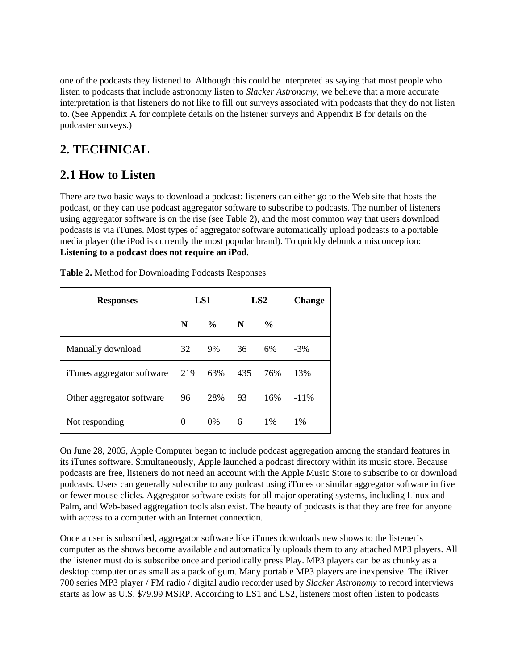one of the podcasts they listened to. Although this could be interpreted as saying that most people who listen to podcasts that include astronomy listen to *Slacker Astronomy*, we believe that a more accurate interpretation is that listeners do not like to fill out surveys associated with podcasts that they do not listen to. (See Appendix A for complete details on the listener surveys and Appendix B for details on the podcaster surveys.)

### **2. TECHNICAL**

### **2.1 How to Listen**

There are two basic ways to download a podcast: listeners can either go to the Web site that hosts the podcast, or they can use podcast aggregator software to subscribe to podcasts. The number of listeners using aggregator software is on the rise (see Table 2), and the most common way that users download podcasts is via iTunes. Most types of aggregator software automatically upload podcasts to a portable media player (the iPod is currently the most popular brand). To quickly debunk a misconception: **Listening to a podcast does not require an iPod**.

| <b>Responses</b>           |     | LS1           |     | LS <sub>2</sub> | <b>Change</b> |
|----------------------------|-----|---------------|-----|-----------------|---------------|
|                            | N   | $\frac{6}{9}$ | N   | $\frac{6}{9}$   |               |
| Manually download          | 32  | 9%            | 36  | 6%              | $-3%$         |
| iTunes aggregator software | 219 | 63%           | 435 | 76%             | 13%           |
| Other aggregator software  | 96  | 28%           | 93  | 16%             | $-11\%$       |
| Not responding             | 0   | 0%            | 6   | 1%              | 1%            |

**Table 2.** Method for Downloading Podcasts Responses

On June 28, 2005, Apple Computer began to include podcast aggregation among the standard features in its iTunes software. Simultaneously, Apple launched a podcast directory within its music store. Because podcasts are free, listeners do not need an account with the Apple Music Store to subscribe to or download podcasts. Users can generally subscribe to any podcast using iTunes or similar aggregator software in five or fewer mouse clicks. Aggregator software exists for all major operating systems, including Linux and Palm, and Web-based aggregation tools also exist. The beauty of podcasts is that they are free for anyone with access to a computer with an Internet connection.

Once a user is subscribed, aggregator software like iTunes downloads new shows to the listener's computer as the shows become available and automatically uploads them to any attached MP3 players. All the listener must do is subscribe once and periodically press Play. MP3 players can be as chunky as a desktop computer or as small as a pack of gum. Many portable MP3 players are inexpensive. The iRiver 700 series MP3 player / FM radio / digital audio recorder used by *Slacker Astronomy* to record interviews starts as low as U.S. \$79.99 MSRP. According to LS1 and LS2, listeners most often listen to podcasts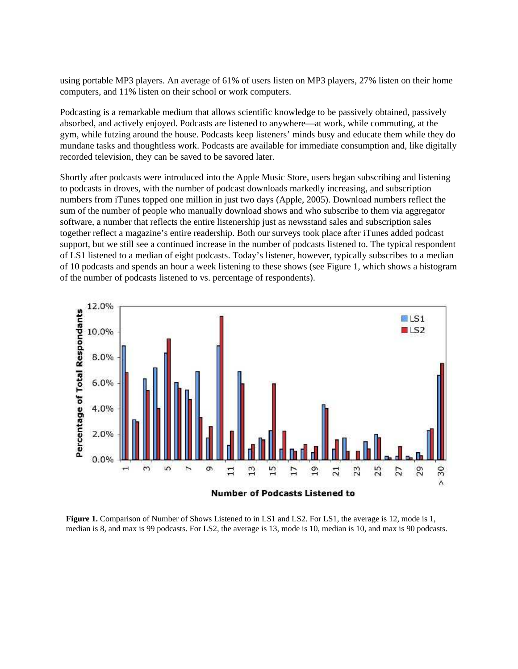using portable MP3 players. An average of 61% of users listen on MP3 players, 27% listen on their home computers, and 11% listen on their school or work computers.

Podcasting is a remarkable medium that allows scientific knowledge to be passively obtained, passively absorbed, and actively enjoyed. Podcasts are listened to anywhere—at work, while commuting, at the gym, while futzing around the house. Podcasts keep listeners' minds busy and educate them while they do mundane tasks and thoughtless work. Podcasts are available for immediate consumption and, like digitally recorded television, they can be saved to be savored later.

Shortly after podcasts were introduced into the Apple Music Store, users began subscribing and listening to podcasts in droves, with the number of podcast downloads markedly increasing, and subscription numbers from iTunes topped one million in just two days (Apple, 2005). Download numbers reflect the sum of the number of people who manually download shows and who subscribe to them via aggregator software, a number that reflects the entire listenership just as newsstand sales and subscription sales together reflect a magazine's entire readership. Both our surveys took place after iTunes added podcast support, but we still see a continued increase in the number of podcasts listened to. The typical respondent of LS1 listened to a median of eight podcasts. Today's listener, however, typically subscribes to a median of 10 podcasts and spends an hour a week listening to these shows (see Figure 1, which shows a histogram of the number of podcasts listened to vs. percentage of respondents).



**Figure 1.** Comparison of Number of Shows Listened to in LS1 and LS2. For LS1, the average is 12, mode is 1, median is 8, and max is 99 podcasts. For LS2, the average is 13, mode is 10, median is 10, and max is 90 podcasts.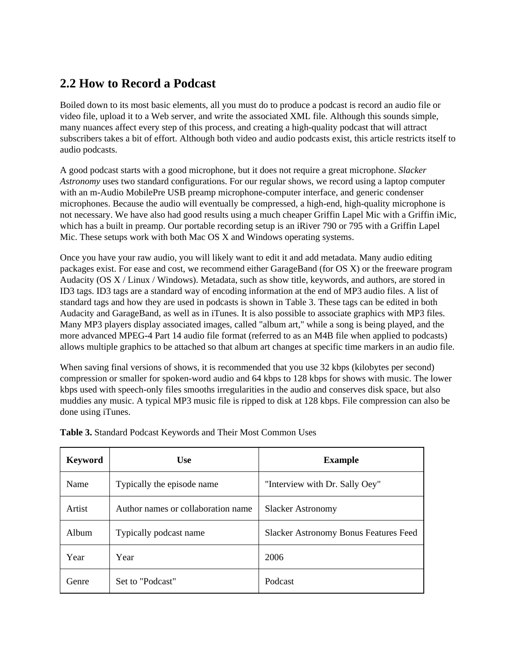#### **2.2 How to Record a Podcast**

Boiled down to its most basic elements, all you must do to produce a podcast is record an audio file or video file, upload it to a Web server, and write the associated XML file. Although this sounds simple, many nuances affect every step of this process, and creating a high-quality podcast that will attract subscribers takes a bit of effort. Although both video and audio podcasts exist, this article restricts itself to audio podcasts.

A good podcast starts with a good microphone, but it does not require a great microphone. *Slacker Astronomy* uses two standard configurations. For our regular shows, we record using a laptop computer with an m-Audio MobilePre USB preamp microphone-computer interface, and generic condenser microphones. Because the audio will eventually be compressed, a high-end, high-quality microphone is not necessary. We have also had good results using a much cheaper Griffin Lapel Mic with a Griffin iMic, which has a built in preamp. Our portable recording setup is an iRiver 790 or 795 with a Griffin Lapel Mic. These setups work with both Mac OS X and Windows operating systems.

Once you have your raw audio, you will likely want to edit it and add metadata. Many audio editing packages exist. For ease and cost, we recommend either GarageBand (for OS X) or the freeware program Audacity (OS X / Linux / Windows). Metadata, such as show title, keywords, and authors, are stored in ID3 tags. ID3 tags are a standard way of encoding information at the end of MP3 audio files. A list of standard tags and how they are used in podcasts is shown in Table 3. These tags can be edited in both Audacity and GarageBand, as well as in iTunes. It is also possible to associate graphics with MP3 files. Many MP3 players display associated images, called "album art," while a song is being played, and the more advanced MPEG-4 Part 14 audio file format (referred to as an M4B file when applied to podcasts) allows multiple graphics to be attached so that album art changes at specific time markers in an audio file.

When saving final versions of shows, it is recommended that you use 32 kbps (kilobytes per second) compression or smaller for spoken-word audio and 64 kbps to 128 kbps for shows with music. The lower kbps used with speech-only files smooths irregularities in the audio and conserves disk space, but also muddies any music. A typical MP3 music file is ripped to disk at 128 kbps. File compression can also be done using iTunes.

| <b>Keyword</b> | <b>Use</b>                         | <b>Example</b>                               |
|----------------|------------------------------------|----------------------------------------------|
| Name           | Typically the episode name         | "Interview with Dr. Sally Oey"               |
| Artist         | Author names or collaboration name | <b>Slacker Astronomy</b>                     |
| Album          | Typically podcast name             | <b>Slacker Astronomy Bonus Features Feed</b> |
| Year           | Year                               | 2006                                         |
| Genre          | Set to "Podcast"                   | Podcast                                      |

**Table 3.** Standard Podcast Keywords and Their Most Common Uses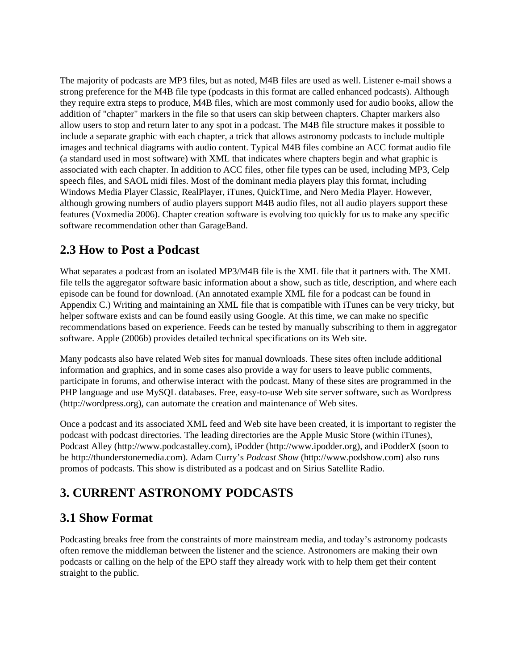The majority of podcasts are MP3 files, but as noted, M4B files are used as well. Listener e-mail shows a strong preference for the M4B file type (podcasts in this format are called enhanced podcasts). Although they require extra steps to produce, M4B files, which are most commonly used for audio books, allow the addition of "chapter" markers in the file so that users can skip between chapters. Chapter markers also allow users to stop and return later to any spot in a podcast. The M4B file structure makes it possible to include a separate graphic with each chapter, a trick that allows astronomy podcasts to include multiple images and technical diagrams with audio content. Typical M4B files combine an ACC format audio file (a standard used in most software) with XML that indicates where chapters begin and what graphic is associated with each chapter. In addition to ACC files, other file types can be used, including MP3, Celp speech files, and SAOL midi files. Most of the dominant media players play this format, including Windows Media Player Classic, RealPlayer, iTunes, QuickTime, and Nero Media Player. However, although growing numbers of audio players support M4B audio files, not all audio players support these features (Voxmedia 2006). Chapter creation software is evolving too quickly for us to make any specific software recommendation other than GarageBand.

#### **2.3 How to Post a Podcast**

What separates a podcast from an isolated MP3/M4B file is the XML file that it partners with. The XML file tells the aggregator software basic information about a show, such as title, description, and where each episode can be found for download. (An annotated example XML file for a podcast can be found in Appendix C.) Writing and maintaining an XML file that is compatible with iTunes can be very tricky, but helper software exists and can be found easily using Google. At this time, we can make no specific recommendations based on experience. Feeds can be tested by manually subscribing to them in aggregator software. Apple (2006b) provides detailed technical specifications on its Web site.

Many podcasts also have related Web sites for manual downloads. These sites often include additional information and graphics, and in some cases also provide a way for users to leave public comments, participate in forums, and otherwise interact with the podcast. Many of these sites are programmed in the PHP language and use MySQL databases. Free, easy-to-use Web site server software, such as Wordpress (http://wordpress.org), can automate the creation and maintenance of Web sites.

Once a podcast and its associated XML feed and Web site have been created, it is important to register the podcast with podcast directories. The leading directories are the Apple Music Store (within iTunes), Podcast Alley (http://www.podcastalley.com), iPodder (http://www.ipodder.org), and iPodderX (soon to be http://thunderstonemedia.com). Adam Curry's *Podcast Show* (http://www.podshow.com) also runs promos of podcasts. This show is distributed as a podcast and on Sirius Satellite Radio.

### **3. CURRENT ASTRONOMY PODCASTS**

#### **3.1 Show Format**

Podcasting breaks free from the constraints of more mainstream media, and today's astronomy podcasts often remove the middleman between the listener and the science. Astronomers are making their own podcasts or calling on the help of the EPO staff they already work with to help them get their content straight to the public.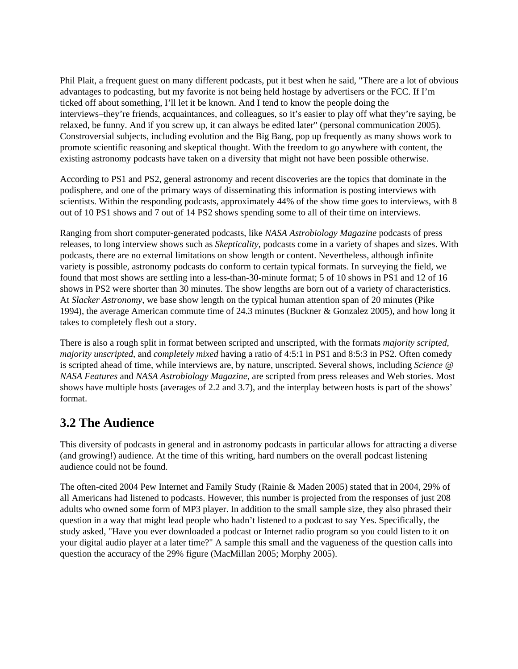Phil Plait, a frequent guest on many different podcasts, put it best when he said, "There are a lot of obvious advantages to podcasting, but my favorite is not being held hostage by advertisers or the FCC. If I'm ticked off about something, I'll let it be known. And I tend to know the people doing the interviews–they're friends, acquaintances, and colleagues, so it's easier to play off what they're saying, be relaxed, be funny. And if you screw up, it can always be edited later" (personal communication 2005). Constroversial subjects, including evolution and the Big Bang, pop up frequently as many shows work to promote scientific reasoning and skeptical thought. With the freedom to go anywhere with content, the existing astronomy podcasts have taken on a diversity that might not have been possible otherwise.

According to PS1 and PS2, general astronomy and recent discoveries are the topics that dominate in the podisphere, and one of the primary ways of disseminating this information is posting interviews with scientists. Within the responding podcasts, approximately 44% of the show time goes to interviews, with 8 out of 10 PS1 shows and 7 out of 14 PS2 shows spending some to all of their time on interviews.

Ranging from short computer-generated podcasts, like *NASA Astrobiology Magazine* podcasts of press releases, to long interview shows such as *Skepticality*, podcasts come in a variety of shapes and sizes. With podcasts, there are no external limitations on show length or content. Nevertheless, although infinite variety is possible, astronomy podcasts do conform to certain typical formats. In surveying the field, we found that most shows are settling into a less-than-30-minute format; 5 of 10 shows in PS1 and 12 of 16 shows in PS2 were shorter than 30 minutes. The show lengths are born out of a variety of characteristics. At *Slacker Astronomy*, we base show length on the typical human attention span of 20 minutes (Pike 1994), the average American commute time of 24.3 minutes (Buckner & Gonzalez 2005), and how long it takes to completely flesh out a story.

There is also a rough split in format between scripted and unscripted, with the formats *majority scripted*, *majority unscripted*, and *completely mixed* having a ratio of 4:5:1 in PS1 and 8:5:3 in PS2. Often comedy is scripted ahead of time, while interviews are, by nature, unscripted. Several shows, including *Science @ NASA Features* and *NASA Astrobiology Magazine*, are scripted from press releases and Web stories. Most shows have multiple hosts (averages of 2.2 and 3.7), and the interplay between hosts is part of the shows' format.

#### **3.2 The Audience**

This diversity of podcasts in general and in astronomy podcasts in particular allows for attracting a diverse (and growing!) audience. At the time of this writing, hard numbers on the overall podcast listening audience could not be found.

The often-cited 2004 Pew Internet and Family Study (Rainie & Maden 2005) stated that in 2004, 29% of all Americans had listened to podcasts. However, this number is projected from the responses of just 208 adults who owned some form of MP3 player. In addition to the small sample size, they also phrased their question in a way that might lead people who hadn't listened to a podcast to say Yes. Specifically, the study asked, "Have you ever downloaded a podcast or Internet radio program so you could listen to it on your digital audio player at a later time?" A sample this small and the vagueness of the question calls into question the accuracy of the 29% figure (MacMillan 2005; Morphy 2005).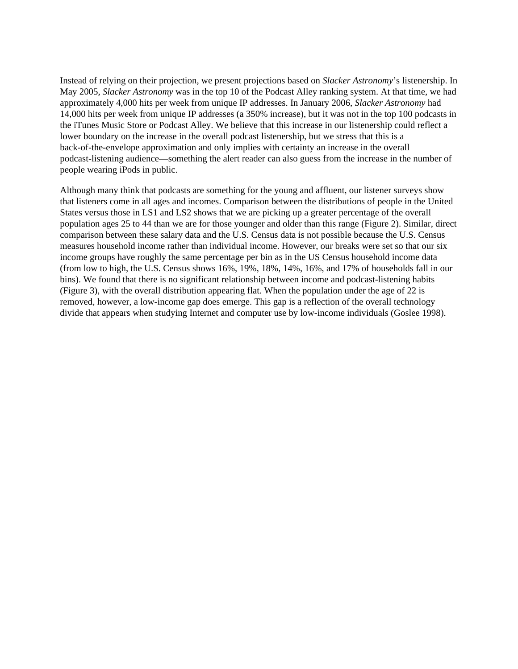Instead of relying on their projection, we present projections based on *Slacker Astronomy*'s listenership. In May 2005, *Slacker Astronomy* was in the top 10 of the Podcast Alley ranking system. At that time, we had approximately 4,000 hits per week from unique IP addresses. In January 2006, *Slacker Astronomy* had 14,000 hits per week from unique IP addresses (a 350% increase), but it was not in the top 100 podcasts in the iTunes Music Store or Podcast Alley. We believe that this increase in our listenership could reflect a lower boundary on the increase in the overall podcast listenership, but we stress that this is a back-of-the-envelope approximation and only implies with certainty an increase in the overall podcast-listening audience—something the alert reader can also guess from the increase in the number of people wearing iPods in public.

Although many think that podcasts are something for the young and affluent, our listener surveys show that listeners come in all ages and incomes. Comparison between the distributions of people in the United States versus those in LS1 and LS2 shows that we are picking up a greater percentage of the overall population ages 25 to 44 than we are for those younger and older than this range (Figure 2). Similar, direct comparison between these salary data and the U.S. Census data is not possible because the U.S. Census measures household income rather than individual income. However, our breaks were set so that our six income groups have roughly the same percentage per bin as in the US Census household income data (from low to high, the U.S. Census shows 16%, 19%, 18%, 14%, 16%, and 17% of households fall in our bins). We found that there is no significant relationship between income and podcast-listening habits (Figure 3), with the overall distribution appearing flat. When the population under the age of 22 is removed, however, a low-income gap does emerge. This gap is a reflection of the overall technology divide that appears when studying Internet and computer use by low-income individuals (Goslee 1998).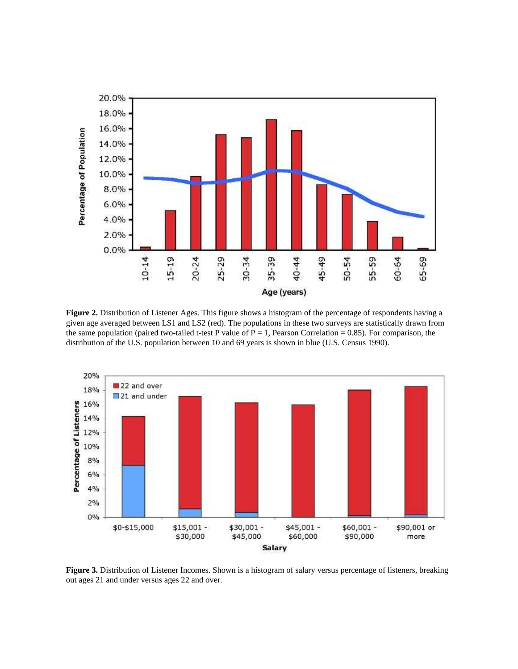

**Figure 2.** Distribution of Listener Ages. This figure shows a histogram of the percentage of respondents having a given age averaged between LS1 and LS2 (red). The populations in these two surveys are statistically drawn from the same population (paired two-tailed t-test P value of  $P = 1$ , Pearson Correlation = 0.85). For comparison, the distribution of the U.S. population between 10 and 69 years is shown in blue (U.S. Census 1990).



**Figure 3.** Distribution of Listener Incomes. Shown is a histogram of salary versus percentage of listeners, breaking out ages 21 and under versus ages 22 and over.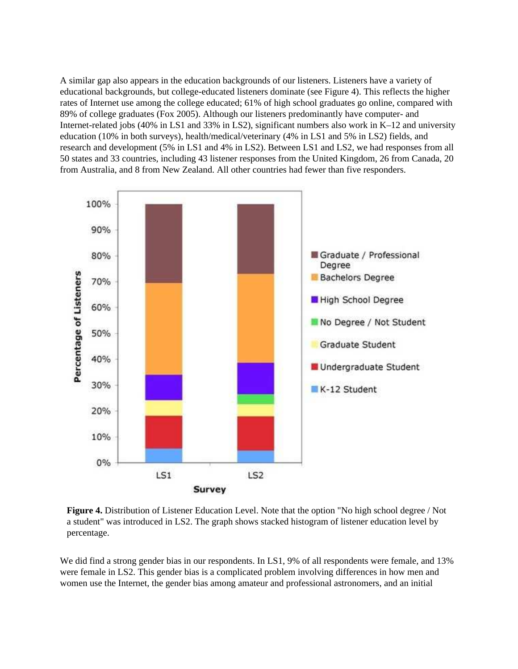A similar gap also appears in the education backgrounds of our listeners. Listeners have a variety of educational backgrounds, but college-educated listeners dominate (see Figure 4). This reflects the higher rates of Internet use among the college educated; 61% of high school graduates go online, compared with 89% of college graduates (Fox 2005). Although our listeners predominantly have computer- and Internet-related jobs (40% in LS1 and 33% in LS2), significant numbers also work in K–12 and university education (10% in both surveys), health/medical/veterinary (4% in LS1 and 5% in LS2) fields, and research and development (5% in LS1 and 4% in LS2). Between LS1 and LS2, we had responses from all 50 states and 33 countries, including 43 listener responses from the United Kingdom, 26 from Canada, 20 from Australia, and 8 from New Zealand. All other countries had fewer than five responders.





We did find a strong gender bias in our respondents. In LS1, 9% of all respondents were female, and 13% were female in LS2. This gender bias is a complicated problem involving differences in how men and women use the Internet, the gender bias among amateur and professional astronomers, and an initial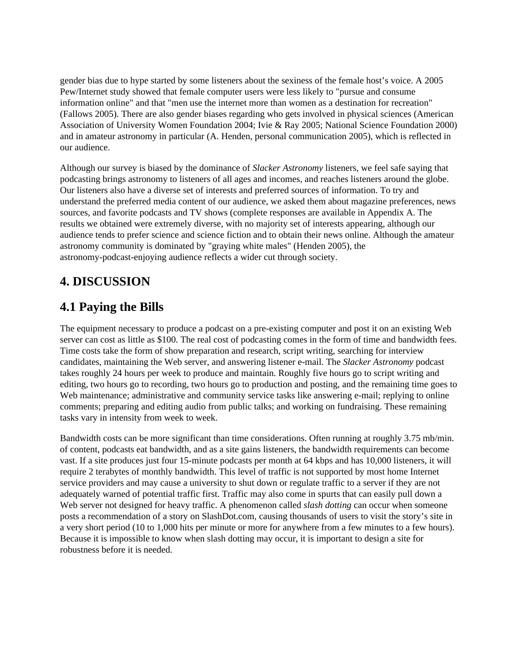gender bias due to hype started by some listeners about the sexiness of the female host's voice. A 2005 Pew/Internet study showed that female computer users were less likely to "pursue and consume information online" and that "men use the internet more than women as a destination for recreation" (Fallows 2005). There are also gender biases regarding who gets involved in physical sciences (American Association of University Women Foundation 2004; Ivie & Ray 2005; National Science Foundation 2000) and in amateur astronomy in particular (A. Henden, personal communication 2005), which is reflected in our audience.

Although our survey is biased by the dominance of *Slacker Astronomy* listeners, we feel safe saying that podcasting brings astronomy to listeners of all ages and incomes, and reaches listeners around the globe. Our listeners also have a diverse set of interests and preferred sources of information. To try and understand the preferred media content of our audience, we asked them about magazine preferences, news sources, and favorite podcasts and TV shows (complete responses are available in Appendix A. The results we obtained were extremely diverse, with no majority set of interests appearing, although our audience tends to prefer science and science fiction and to obtain their news online. Although the amateur astronomy community is dominated by "graying white males" (Henden 2005), the astronomy-podcast-enjoying audience reflects a wider cut through society.

#### **4. DISCUSSION**

#### **4.1 Paying the Bills**

The equipment necessary to produce a podcast on a pre-existing computer and post it on an existing Web server can cost as little as \$100. The real cost of podcasting comes in the form of time and bandwidth fees. Time costs take the form of show preparation and research, script writing, searching for interview candidates, maintaining the Web server, and answering listener e-mail. The *Slacker Astronomy* podcast takes roughly 24 hours per week to produce and maintain. Roughly five hours go to script writing and editing, two hours go to recording, two hours go to production and posting, and the remaining time goes to Web maintenance; administrative and community service tasks like answering e-mail; replying to online comments; preparing and editing audio from public talks; and working on fundraising. These remaining tasks vary in intensity from week to week.

Bandwidth costs can be more significant than time considerations. Often running at roughly 3.75 mb/min. of content, podcasts eat bandwidth, and as a site gains listeners, the bandwidth requirements can become vast. If a site produces just four 15-minute podcasts per month at 64 kbps and has 10,000 listeners, it will require 2 terabytes of monthly bandwidth. This level of traffic is not supported by most home Internet service providers and may cause a university to shut down or regulate traffic to a server if they are not adequately warned of potential traffic first. Traffic may also come in spurts that can easily pull down a Web server not designed for heavy traffic. A phenomenon called *slash dotting* can occur when someone posts a recommendation of a story on SlashDot.com, causing thousands of users to visit the story's site in a very short period (10 to 1,000 hits per minute or more for anywhere from a few minutes to a few hours). Because it is impossible to know when slash dotting may occur, it is important to design a site for robustness before it is needed.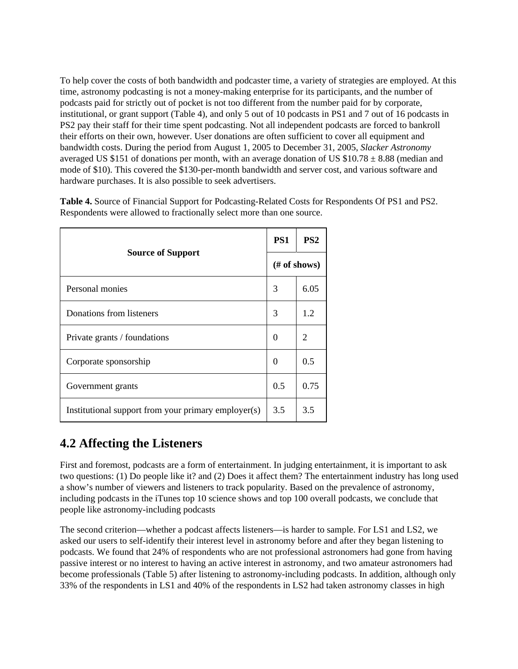To help cover the costs of both bandwidth and podcaster time, a variety of strategies are employed. At this time, astronomy podcasting is not a money-making enterprise for its participants, and the number of podcasts paid for strictly out of pocket is not too different from the number paid for by corporate, institutional, or grant support (Table 4), and only 5 out of 10 podcasts in PS1 and 7 out of 16 podcasts in PS2 pay their staff for their time spent podcasting. Not all independent podcasts are forced to bankroll their efforts on their own, however. User donations are often sufficient to cover all equipment and bandwidth costs. During the period from August 1, 2005 to December 31, 2005, *Slacker Astronomy* averaged US \$151 of donations per month, with an average donation of US  $$10.78 \pm 8.88$  (median and mode of \$10). This covered the \$130-per-month bandwidth and server cost, and various software and hardware purchases. It is also possible to seek advertisers.

**Table 4.** Source of Financial Support for Podcasting-Related Costs for Respondents Of PS1 and PS2. Respondents were allowed to fractionally select more than one source.

|                                                     |              | PS <sub>2</sub> |  |
|-----------------------------------------------------|--------------|-----------------|--|
| <b>Source of Support</b>                            | (# of shows) |                 |  |
| Personal monies                                     | 3            | 6.05            |  |
| Donations from listeners                            | 3            | 1.2             |  |
| Private grants / foundations                        | 0            | $\overline{2}$  |  |
| Corporate sponsorship                               | 0            | 0.5             |  |
| Government grants                                   | 0.5          | 0.75            |  |
| Institutional support from your primary employer(s) | 3.5          | 3.5             |  |

#### **4.2 Affecting the Listeners**

First and foremost, podcasts are a form of entertainment. In judging entertainment, it is important to ask two questions: (1) Do people like it? and (2) Does it affect them? The entertainment industry has long used a show's number of viewers and listeners to track popularity. Based on the prevalence of astronomy, including podcasts in the iTunes top 10 science shows and top 100 overall podcasts, we conclude that people like astronomy-including podcasts

The second criterion—whether a podcast affects listeners—is harder to sample. For LS1 and LS2, we asked our users to self-identify their interest level in astronomy before and after they began listening to podcasts. We found that 24% of respondents who are not professional astronomers had gone from having passive interest or no interest to having an active interest in astronomy, and two amateur astronomers had become professionals (Table 5) after listening to astronomy-including podcasts. In addition, although only 33% of the respondents in LS1 and 40% of the respondents in LS2 had taken astronomy classes in high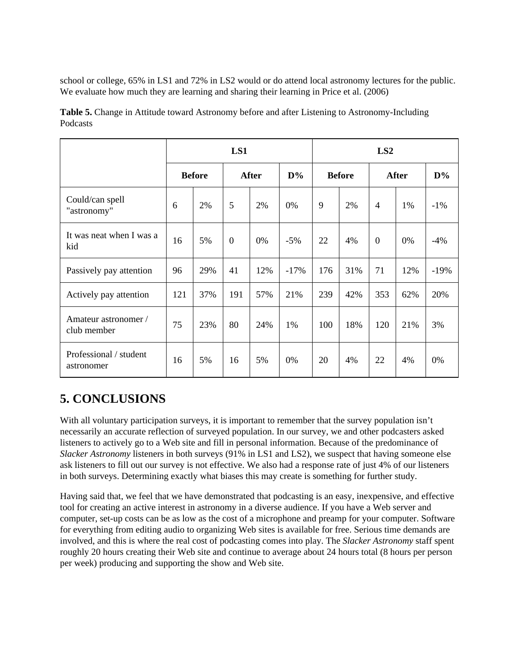school or college, 65% in LS1 and 72% in LS2 would or do attend local astronomy lectures for the public. We evaluate how much they are learning and sharing their learning in Price et al. (2006)

|                                      | LS1           |     |                  |     | LS2    |               |     |                |     |        |
|--------------------------------------|---------------|-----|------------------|-----|--------|---------------|-----|----------------|-----|--------|
|                                      | <b>Before</b> |     | <b>After</b>     |     | $D\%$  | <b>Before</b> |     | <b>After</b>   |     | $D\%$  |
| Could/can spell<br>"astronomy"       | 6             | 2%  | 5                | 2%  | 0%     | 9             | 2%  | $\overline{4}$ | 1%  | $-1\%$ |
| It was neat when I was a<br>kid      | 16            | 5%  | $\boldsymbol{0}$ | 0%  | $-5%$  | 22            | 4%  | $\theta$       | 0%  | $-4%$  |
| Passively pay attention              | 96            | 29% | 41               | 12% | $-17%$ | 176           | 31% | 71             | 12% | $-19%$ |
| Actively pay attention               | 121           | 37% | 191              | 57% | 21%    | 239           | 42% | 353            | 62% | 20%    |
| Amateur astronomer /<br>club member  | 75            | 23% | 80               | 24% | 1%     | 100           | 18% | 120            | 21% | 3%     |
| Professional / student<br>astronomer | 16            | 5%  | 16               | 5%  | 0%     | 20            | 4%  | 22             | 4%  | 0%     |

**Table 5.** Change in Attitude toward Astronomy before and after Listening to Astronomy-Including Podcasts

### **5. CONCLUSIONS**

With all voluntary participation surveys, it is important to remember that the survey population isn't necessarily an accurate reflection of surveyed population. In our survey, we and other podcasters asked listeners to actively go to a Web site and fill in personal information. Because of the predominance of *Slacker Astronomy* listeners in both surveys (91% in LS1 and LS2), we suspect that having someone else ask listeners to fill out our survey is not effective. We also had a response rate of just 4% of our listeners in both surveys. Determining exactly what biases this may create is something for further study.

Having said that, we feel that we have demonstrated that podcasting is an easy, inexpensive, and effective tool for creating an active interest in astronomy in a diverse audience. If you have a Web server and computer, set-up costs can be as low as the cost of a microphone and preamp for your computer. Software for everything from editing audio to organizing Web sites is available for free. Serious time demands are involved, and this is where the real cost of podcasting comes into play. The *Slacker Astronomy* staff spent roughly 20 hours creating their Web site and continue to average about 24 hours total (8 hours per person per week) producing and supporting the show and Web site.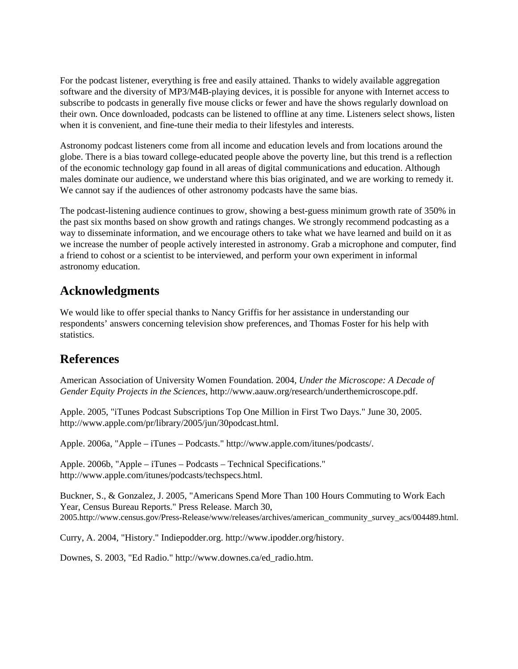For the podcast listener, everything is free and easily attained. Thanks to widely available aggregation software and the diversity of MP3/M4B-playing devices, it is possible for anyone with Internet access to subscribe to podcasts in generally five mouse clicks or fewer and have the shows regularly download on their own. Once downloaded, podcasts can be listened to offline at any time. Listeners select shows, listen when it is convenient, and fine-tune their media to their lifestyles and interests.

Astronomy podcast listeners come from all income and education levels and from locations around the globe. There is a bias toward college-educated people above the poverty line, but this trend is a reflection of the economic technology gap found in all areas of digital communications and education. Although males dominate our audience, we understand where this bias originated, and we are working to remedy it. We cannot say if the audiences of other astronomy podcasts have the same bias.

The podcast-listening audience continues to grow, showing a best-guess minimum growth rate of 350% in the past six months based on show growth and ratings changes. We strongly recommend podcasting as a way to disseminate information, and we encourage others to take what we have learned and build on it as we increase the number of people actively interested in astronomy. Grab a microphone and computer, find a friend to cohost or a scientist to be interviewed, and perform your own experiment in informal astronomy education.

#### **Acknowledgments**

We would like to offer special thanks to Nancy Griffis for her assistance in understanding our respondents' answers concerning television show preferences, and Thomas Foster for his help with statistics.

#### **References**

American Association of University Women Foundation. 2004, *Under the Microscope: A Decade of Gender Equity Projects in the Sciences*, http://www.aauw.org/research/underthemicroscope.pdf.

Apple. 2005, "iTunes Podcast Subscriptions Top One Million in First Two Days." June 30, 2005. http://www.apple.com/pr/library/2005/jun/30podcast.html.

Apple. 2006a, "Apple – iTunes – Podcasts." http://www.apple.com/itunes/podcasts/.

Apple. 2006b, "Apple – iTunes – Podcasts – Technical Specifications." http://www.apple.com/itunes/podcasts/techspecs.html.

Buckner, S., & Gonzalez, J. 2005, "Americans Spend More Than 100 Hours Commuting to Work Each Year, Census Bureau Reports." Press Release. March 30, 2005.http://www.census.gov/Press-Release/www/releases/archives/american\_community\_survey\_acs/004489.html.

Curry, A. 2004, "History." Indiepodder.org. http://www.ipodder.org/history.

Downes, S. 2003, "Ed Radio." http://www.downes.ca/ed\_radio.htm.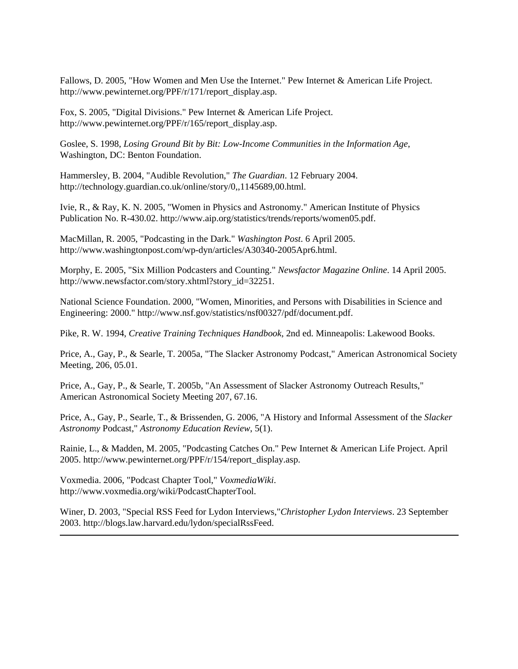Fallows, D. 2005, "How Women and Men Use the Internet." Pew Internet & American Life Project. http://www.pewinternet.org/PPF/r/171/report\_display.asp.

Fox, S. 2005, "Digital Divisions." Pew Internet & American Life Project. http://www.pewinternet.org/PPF/r/165/report\_display.asp.

Goslee, S. 1998, *Losing Ground Bit by Bit: Low-Income Communities in the Information Age*, Washington, DC: Benton Foundation.

Hammersley, B. 2004, "Audible Revolution," *The Guardian*. 12 February 2004. http://technology.guardian.co.uk/online/story/0,,1145689,00.html.

Ivie, R., & Ray, K. N. 2005, "Women in Physics and Astronomy." American Institute of Physics Publication No. R-430.02. http://www.aip.org/statistics/trends/reports/women05.pdf.

MacMillan, R. 2005, "Podcasting in the Dark." *Washington Post*. 6 April 2005. http://www.washingtonpost.com/wp-dyn/articles/A30340-2005Apr6.html.

Morphy, E. 2005, "Six Million Podcasters and Counting." *Newsfactor Magazine Online*. 14 April 2005. http://www.newsfactor.com/story.xhtml?story\_id=32251.

National Science Foundation. 2000, "Women, Minorities, and Persons with Disabilities in Science and Engineering: 2000." http://www.nsf.gov/statistics/nsf00327/pdf/document.pdf.

Pike, R. W. 1994, *Creative Training Techniques Handbook*, 2nd ed. Minneapolis: Lakewood Books.

Price, A., Gay, P., & Searle, T. 2005a, "The Slacker Astronomy Podcast," American Astronomical Society Meeting, 206, 05.01.

Price, A., Gay, P., & Searle, T. 2005b, "An Assessment of Slacker Astronomy Outreach Results," American Astronomical Society Meeting 207, 67.16.

Price, A., Gay, P., Searle, T., & Brissenden, G. 2006, "A History and Informal Assessment of the *Slacker Astronomy* Podcast," *Astronomy Education Review*, 5(1).

Rainie, L., & Madden, M. 2005, "Podcasting Catches On." Pew Internet & American Life Project. April 2005. http://www.pewinternet.org/PPF/r/154/report\_display.asp.

Voxmedia. 2006, "Podcast Chapter Tool," *VoxmediaWiki*. http://www.voxmedia.org/wiki/PodcastChapterTool.

Winer, D. 2003, "Special RSS Feed for Lydon Interviews,"*Christopher Lydon Interviews*. 23 September 2003. http://blogs.law.harvard.edu/lydon/specialRssFeed.